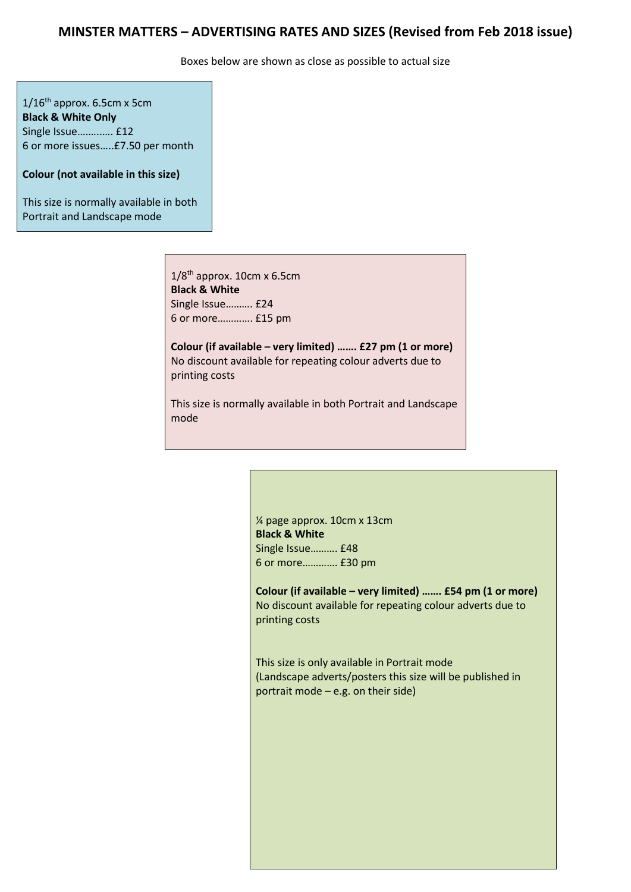## **MINSTER MATTERS – ADVERTISING RATES AND SIZES (Revised from Feb 2018 issue)**

Boxes below are shown as close as possible to actual size

 $1/16^{th}$  approx. 6.5cm x 5cm **Black & White Only** Single Issue….…..…. £12 6 or more issues…..£7.50 per month

**Colour (not available in this size)**

This size is normally available in both Portrait and Landscape mode

> $1/8$ <sup>th</sup> approx. 10cm x 6.5cm **Black & White** Single Issue………. £24 6 or more…………. £15 pm

**Colour (if available – very limited) ……. £27 pm (1 or more)** No discount available for repeating colour adverts due to printing costs

This size is normally available in both Portrait and Landscape mode

> ¼ page approx. 10cm x 13cm **Black & White** Single Issue………. £48 6 or more…………. £30 pm

**Colour (if available – very limited) ……. £54 pm (1 or more)** No discount available for repeating colour adverts due to printing costs

This size is only available in Portrait mode (Landscape adverts/posters this size will be published in portrait mode – e.g. on their side)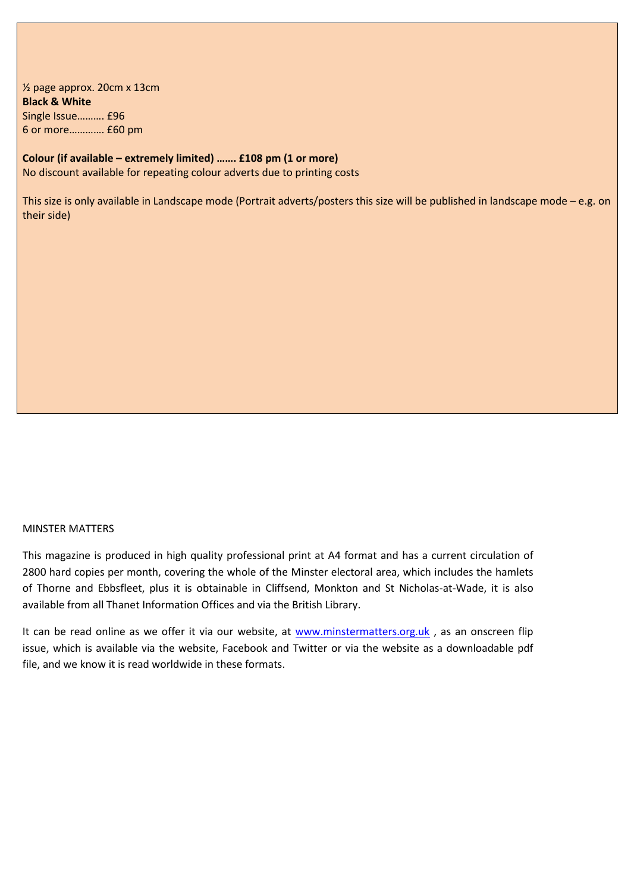½ page approx. 20cm x 13cm **Black & White** Single Issue………. £96 6 or more…………. £60 pm

## **Colour (if available – extremely limited) ……. £108 pm (1 or more)** No discount available for repeating colour adverts due to printing costs

This size is only available in Landscape mode (Portrait adverts/posters this size will be published in landscape mode – e.g. on their side)

## MINSTER MATTERS

This magazine is produced in high quality professional print at A4 format and has a current circulation of 2800 hard copies per month, covering the whole of the Minster electoral area, which includes the hamlets of Thorne and Ebbsfleet, plus it is obtainable in Cliffsend, Monkton and St Nicholas-at-Wade, it is also available from all Thanet Information Offices and via the British Library.

It can be read online as we offer it via our website, at [www.minstermatters.org.uk](http://www.minstermatters.org.uk/), as an onscreen flip issue, which is available via the website, Facebook and Twitter or via the website as a downloadable pdf file, and we know it is read worldwide in these formats.